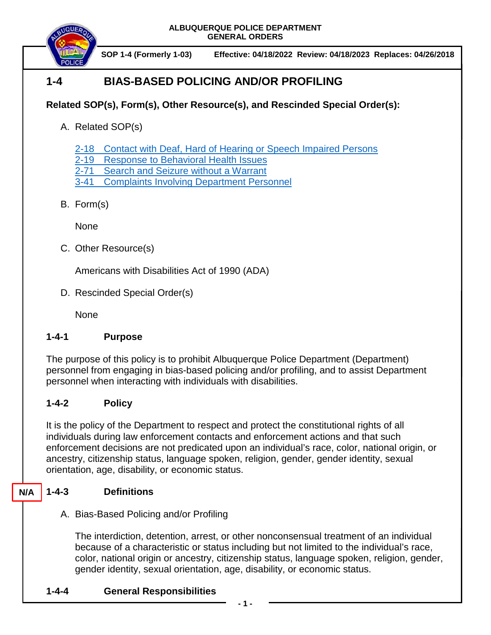**ALBUQUERQUE POLICE DEPARTMENT GENERAL ORDERS**



# **1-4 BIAS-BASED POLICING AND/OR PROFILING**

## **Related SOP(s), Form(s), Other Resource(s), and Rescinded Special Order(s):**

- A. Related SOP(s)
	- 2-18 [Contact with Deaf, Hard of Hearing or Speech Impaired Persons](https://powerdms.com/docs/89?q=2-18)
	- 2-19 [Response to Behavioral Health Issues](https://powerdms.com/docs/1192186?q=2-19)
	- 2-71 [Search and Seizure without a Warrant](https://powerdms.com/docs/100?q=2-71)
	- 3-41 [Complaints Involving Department Personnel](https://powerdms.com/docs/184?q=3-41)
- B. Form(s)

None

C. Other Resource(s)

Americans with Disabilities Act of 1990 (ADA)

D. Rescinded Special Order(s)

None

### **1-4-1 Purpose**

The purpose of this policy is to prohibit Albuquerque Police Department (Department) personnel from engaging in bias-based policing and/or profiling, and to assist Department personnel when interacting with individuals with disabilities.

### **1-4-2 Policy**

It is the policy of the Department to respect and protect the constitutional rights of all individuals during law enforcement contacts and enforcement actions and that such enforcement decisions are not predicated upon an individual's race, color, national origin, or ancestry, citizenship status, language spoken, religion, gender, gender identity, sexual orientation, age, disability, or economic status.

#### **1-4-3 Definitions N/A**

A. Bias-Based Policing and/or Profiling

The interdiction, detention, arrest, or other nonconsensual treatment of an individual because of a characteristic or status including but not limited to the individual's race, color, national origin or ancestry, citizenship status, language spoken, religion, gender, gender identity, sexual orientation, age, disability, or economic status.

**1-4-4 General Responsibilities**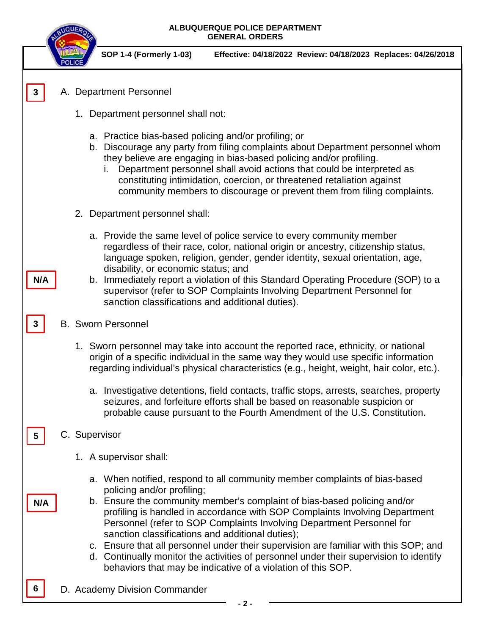| ALBUQUERQUE POLICE DEPARTMENT<br><b>GENERAL ORDERS</b> |                                                                                                                                                                                                                                                                                                                                                                                                                                                                                                                                                                                                                                                    |  |
|--------------------------------------------------------|----------------------------------------------------------------------------------------------------------------------------------------------------------------------------------------------------------------------------------------------------------------------------------------------------------------------------------------------------------------------------------------------------------------------------------------------------------------------------------------------------------------------------------------------------------------------------------------------------------------------------------------------------|--|
|                                                        | <b>SOP 1-4 (Formerly 1-03)</b><br>Effective: 04/18/2022 Review: 04/18/2023 Replaces: 04/26/2018                                                                                                                                                                                                                                                                                                                                                                                                                                                                                                                                                    |  |
|                                                        | A. Department Personnel                                                                                                                                                                                                                                                                                                                                                                                                                                                                                                                                                                                                                            |  |
|                                                        | 1. Department personnel shall not:                                                                                                                                                                                                                                                                                                                                                                                                                                                                                                                                                                                                                 |  |
|                                                        | a. Practice bias-based policing and/or profiling; or<br>b. Discourage any party from filing complaints about Department personnel whom<br>they believe are engaging in bias-based policing and/or profiling.<br>Department personnel shall avoid actions that could be interpreted as<br>İ.<br>constituting intimidation, coercion, or threatened retaliation against<br>community members to discourage or prevent them from filing complaints.                                                                                                                                                                                                   |  |
|                                                        | 2. Department personnel shall:                                                                                                                                                                                                                                                                                                                                                                                                                                                                                                                                                                                                                     |  |
| N/A                                                    | a. Provide the same level of police service to every community member<br>regardless of their race, color, national origin or ancestry, citizenship status,<br>language spoken, religion, gender, gender identity, sexual orientation, age,<br>disability, or economic status; and<br>b. Immediately report a violation of this Standard Operating Procedure (SOP) to a<br>supervisor (refer to SOP Complaints Involving Department Personnel for<br>sanction classifications and additional duties).                                                                                                                                               |  |
|                                                        | <b>B.</b> Sworn Personnel                                                                                                                                                                                                                                                                                                                                                                                                                                                                                                                                                                                                                          |  |
|                                                        | 1. Sworn personnel may take into account the reported race, ethnicity, or national<br>origin of a specific individual in the same way they would use specific information<br>regarding individual's physical characteristics (e.g., height, weight, hair color, etc.).                                                                                                                                                                                                                                                                                                                                                                             |  |
|                                                        | a. Investigative detentions, field contacts, traffic stops, arrests, searches, property<br>seizures, and forfeiture efforts shall be based on reasonable suspicion or<br>probable cause pursuant to the Fourth Amendment of the U.S. Constitution.                                                                                                                                                                                                                                                                                                                                                                                                 |  |
| C. Supervisor<br>5                                     |                                                                                                                                                                                                                                                                                                                                                                                                                                                                                                                                                                                                                                                    |  |
|                                                        | 1. A supervisor shall:                                                                                                                                                                                                                                                                                                                                                                                                                                                                                                                                                                                                                             |  |
| N/A                                                    | a. When notified, respond to all community member complaints of bias-based<br>policing and/or profiling;<br>b. Ensure the community member's complaint of bias-based policing and/or<br>profiling is handled in accordance with SOP Complaints Involving Department<br>Personnel (refer to SOP Complaints Involving Department Personnel for<br>sanction classifications and additional duties);<br>c. Ensure that all personnel under their supervision are familiar with this SOP; and<br>d. Continually monitor the activities of personnel under their supervision to identify<br>behaviors that may be indicative of a violation of this SOP. |  |
|                                                        | D. Academy Division Commander<br>$2 -$                                                                                                                                                                                                                                                                                                                                                                                                                                                                                                                                                                                                             |  |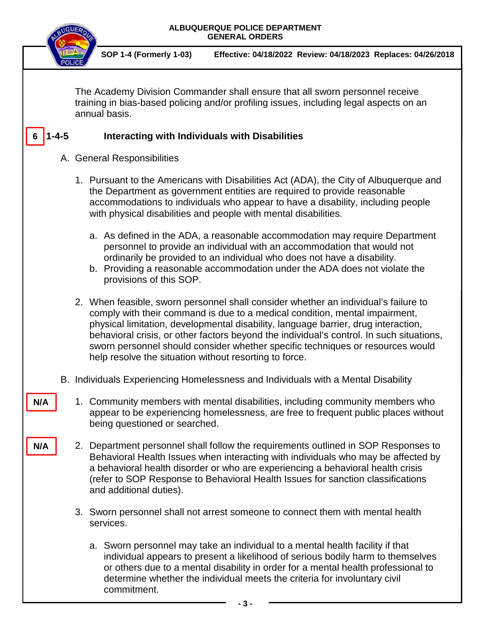| ALBUQUERQUE POLICE DEPARTMENT<br><b>GENERAL ORDERS</b>                                                                                                                                  |                                                                                |                                                                                                                                                                                                                                                                                                                                                                                                                                                                                                  |
|-----------------------------------------------------------------------------------------------------------------------------------------------------------------------------------------|--------------------------------------------------------------------------------|--------------------------------------------------------------------------------------------------------------------------------------------------------------------------------------------------------------------------------------------------------------------------------------------------------------------------------------------------------------------------------------------------------------------------------------------------------------------------------------------------|
|                                                                                                                                                                                         |                                                                                | <b>SOP 1-4 (Formerly 1-03)</b><br>Effective: 04/18/2022 Review: 04/18/2023 Replaces: 04/26/2018                                                                                                                                                                                                                                                                                                                                                                                                  |
| The Academy Division Commander shall ensure that all sworn personnel receive<br>training in bias-based policing and/or profiling issues, including legal aspects on an<br>annual basis. |                                                                                |                                                                                                                                                                                                                                                                                                                                                                                                                                                                                                  |
| $1 - 4 - 5$                                                                                                                                                                             |                                                                                | <b>Interacting with Individuals with Disabilities</b>                                                                                                                                                                                                                                                                                                                                                                                                                                            |
|                                                                                                                                                                                         | A. General Responsibilities                                                    |                                                                                                                                                                                                                                                                                                                                                                                                                                                                                                  |
|                                                                                                                                                                                         |                                                                                | 1. Pursuant to the Americans with Disabilities Act (ADA), the City of Albuquerque and<br>the Department as government entities are required to provide reasonable<br>accommodations to individuals who appear to have a disability, including people<br>with physical disabilities and people with mental disabilities.                                                                                                                                                                          |
|                                                                                                                                                                                         |                                                                                | a. As defined in the ADA, a reasonable accommodation may require Department<br>personnel to provide an individual with an accommodation that would not<br>ordinarily be provided to an individual who does not have a disability.<br>b. Providing a reasonable accommodation under the ADA does not violate the<br>provisions of this SOP.                                                                                                                                                       |
|                                                                                                                                                                                         |                                                                                | 2. When feasible, sworn personnel shall consider whether an individual's failure to<br>comply with their command is due to a medical condition, mental impairment,<br>physical limitation, developmental disability, language barrier, drug interaction,<br>behavioral crisis, or other factors beyond the individual's control. In such situations,<br>sworn personnel should consider whether specific techniques or resources would<br>help resolve the situation without resorting to force. |
| В.                                                                                                                                                                                      | Individuals Experiencing Homelessness and Individuals with a Mental Disability |                                                                                                                                                                                                                                                                                                                                                                                                                                                                                                  |
| N/A                                                                                                                                                                                     |                                                                                | 1. Community members with mental disabilities, including community members who<br>appear to be experiencing homelessness, are free to frequent public places without<br>being questioned or searched.                                                                                                                                                                                                                                                                                            |
| N/A                                                                                                                                                                                     |                                                                                | 2. Department personnel shall follow the requirements outlined in SOP Responses to<br>Behavioral Health Issues when interacting with individuals who may be affected by<br>a behavioral health disorder or who are experiencing a behavioral health crisis<br>(refer to SOP Response to Behavioral Health Issues for sanction classifications<br>and additional duties).                                                                                                                         |
|                                                                                                                                                                                         |                                                                                | 3. Sworn personnel shall not arrest someone to connect them with mental health<br>services.                                                                                                                                                                                                                                                                                                                                                                                                      |
|                                                                                                                                                                                         |                                                                                | a. Sworn personnel may take an individual to a mental health facility if that<br>individual appears to present a likelihood of serious bodily harm to themselves<br>or others due to a mental disability in order for a mental health professional to<br>determine whether the individual meets the criteria for involuntary civil<br>commitment.<br>- 3 -                                                                                                                                       |